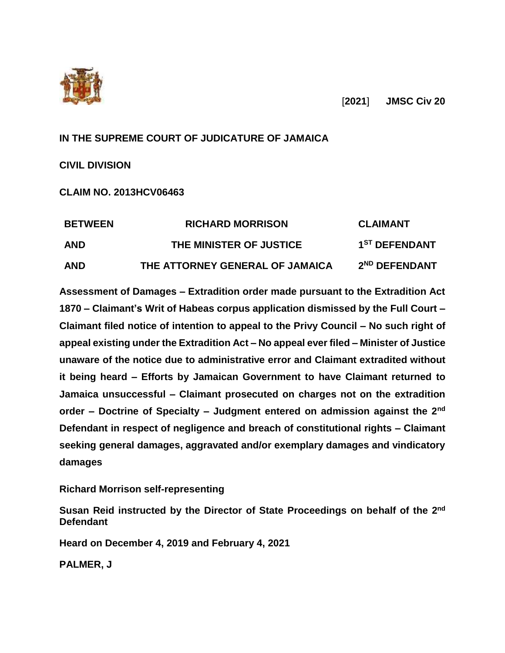

[**2021**] **JMSC Civ 20**

# **IN THE SUPREME COURT OF JUDICATURE OF JAMAICA**

**CIVIL DIVISION**

**CLAIM NO. 2013HCV06463**

| <b>BETWEEN</b><br><b>AND</b> | <b>RICHARD MORRISON</b><br>THE MINISTER OF JUSTICE | <b>CLAIMANT</b><br>1 <sup>ST</sup> DEFENDANT |
|------------------------------|----------------------------------------------------|----------------------------------------------|
|                              |                                                    |                                              |

**Assessment of Damages – Extradition order made pursuant to the Extradition Act 1870 – Claimant's Writ of Habeas corpus application dismissed by the Full Court – Claimant filed notice of intention to appeal to the Privy Council – No such right of appeal existing under the Extradition Act – No appeal ever filed – Minister of Justice unaware of the notice due to administrative error and Claimant extradited without it being heard – Efforts by Jamaican Government to have Claimant returned to Jamaica unsuccessful – Claimant prosecuted on charges not on the extradition order – Doctrine of Specialty – Judgment entered on admission against the 2nd Defendant in respect of negligence and breach of constitutional rights – Claimant seeking general damages, aggravated and/or exemplary damages and vindicatory damages**

**Richard Morrison self-representing**

Susan Reid instructed by the Director of State Proceedings on behalf of the 2<sup>nd</sup> **Defendant**

**Heard on December 4, 2019 and February 4, 2021**

**PALMER, J**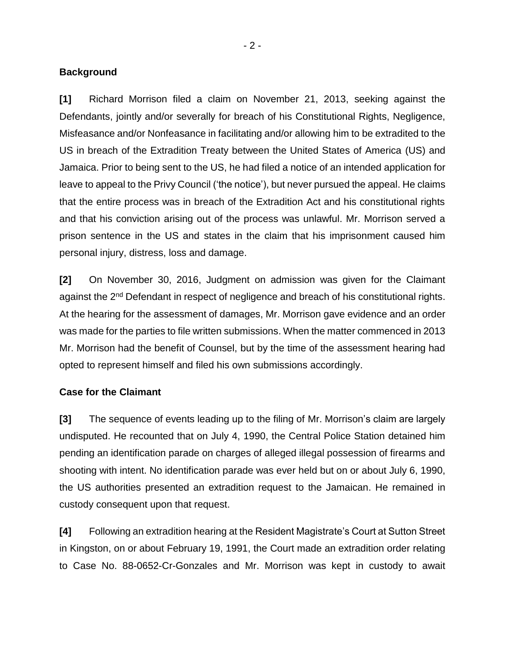#### **Background**

**[1]** Richard Morrison filed a claim on November 21, 2013, seeking against the Defendants, jointly and/or severally for breach of his Constitutional Rights, Negligence, Misfeasance and/or Nonfeasance in facilitating and/or allowing him to be extradited to the US in breach of the Extradition Treaty between the United States of America (US) and Jamaica. Prior to being sent to the US, he had filed a notice of an intended application for leave to appeal to the Privy Council ('the notice'), but never pursued the appeal. He claims that the entire process was in breach of the Extradition Act and his constitutional rights and that his conviction arising out of the process was unlawful. Mr. Morrison served a prison sentence in the US and states in the claim that his imprisonment caused him personal injury, distress, loss and damage.

**[2]** On November 30, 2016, Judgment on admission was given for the Claimant against the 2<sup>nd</sup> Defendant in respect of negligence and breach of his constitutional rights. At the hearing for the assessment of damages, Mr. Morrison gave evidence and an order was made for the parties to file written submissions. When the matter commenced in 2013 Mr. Morrison had the benefit of Counsel, but by the time of the assessment hearing had opted to represent himself and filed his own submissions accordingly.

#### **Case for the Claimant**

**[3]** The sequence of events leading up to the filing of Mr. Morrison's claim are largely undisputed. He recounted that on July 4, 1990, the Central Police Station detained him pending an identification parade on charges of alleged illegal possession of firearms and shooting with intent. No identification parade was ever held but on or about July 6, 1990, the US authorities presented an extradition request to the Jamaican. He remained in custody consequent upon that request.

**[4]** Following an extradition hearing at the Resident Magistrate's Court at Sutton Street in Kingston, on or about February 19, 1991, the Court made an extradition order relating to Case No. 88-0652-Cr-Gonzales and Mr. Morrison was kept in custody to await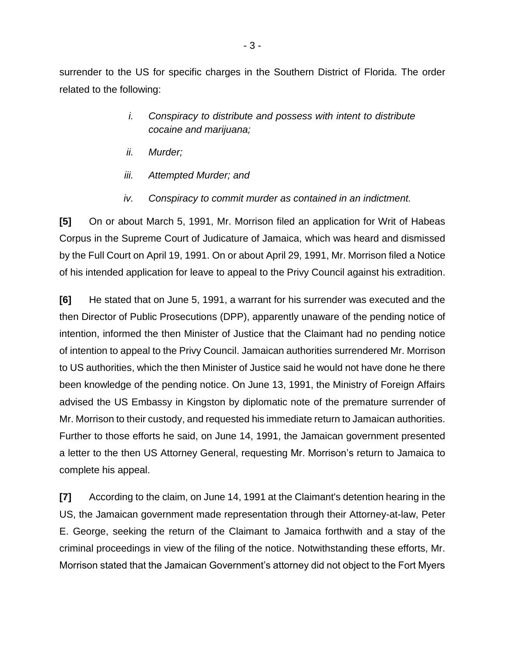surrender to the US for specific charges in the Southern District of Florida. The order related to the following:

- *i. Conspiracy to distribute and possess with intent to distribute cocaine and marijuana;*
- *ii. Murder;*
- *iii. Attempted Murder; and*
- *iv. Conspiracy to commit murder as contained in an indictment.*

**[5]** On or about March 5, 1991, Mr. Morrison filed an application for Writ of Habeas Corpus in the Supreme Court of Judicature of Jamaica, which was heard and dismissed by the Full Court on April 19, 1991. On or about April 29, 1991, Mr. Morrison filed a Notice of his intended application for leave to appeal to the Privy Council against his extradition.

**[6]** He stated that on June 5, 1991, a warrant for his surrender was executed and the then Director of Public Prosecutions (DPP), apparently unaware of the pending notice of intention, informed the then Minister of Justice that the Claimant had no pending notice of intention to appeal to the Privy Council. Jamaican authorities surrendered Mr. Morrison to US authorities, which the then Minister of Justice said he would not have done he there been knowledge of the pending notice. On June 13, 1991, the Ministry of Foreign Affairs advised the US Embassy in Kingston by diplomatic note of the premature surrender of Mr. Morrison to their custody, and requested his immediate return to Jamaican authorities. Further to those efforts he said, on June 14, 1991, the Jamaican government presented a letter to the then US Attorney General, requesting Mr. Morrison's return to Jamaica to complete his appeal.

**[7]** According to the claim, on June 14, 1991 at the Claimant's detention hearing in the US, the Jamaican government made representation through their Attorney-at-law, Peter E. George, seeking the return of the Claimant to Jamaica forthwith and a stay of the criminal proceedings in view of the filing of the notice. Notwithstanding these efforts, Mr. Morrison stated that the Jamaican Government's attorney did not object to the Fort Myers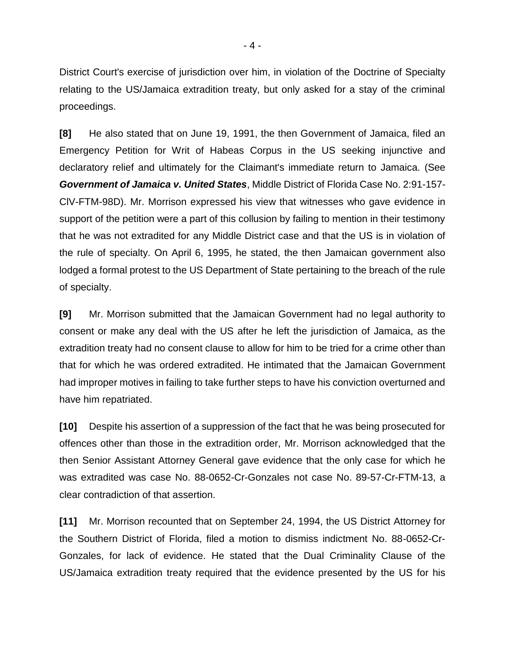District Court's exercise of jurisdiction over him, in violation of the Doctrine of Specialty relating to the US/Jamaica extradition treaty, but only asked for a stay of the criminal proceedings.

**[8]** He also stated that on June 19, 1991, the then Government of Jamaica, filed an Emergency Petition for Writ of Habeas Corpus in the US seeking injunctive and declaratory relief and ultimately for the Claimant's immediate return to Jamaica. (See *Government of Jamaica v. United States*, Middle District of Florida Case No. 2:91-157- ClV-FTM-98D). Mr. Morrison expressed his view that witnesses who gave evidence in support of the petition were a part of this collusion by failing to mention in their testimony that he was not extradited for any Middle District case and that the US is in violation of the rule of specialty. On April 6, 1995, he stated, the then Jamaican government also lodged a formal protest to the US Department of State pertaining to the breach of the rule of specialty.

**[9]** Mr. Morrison submitted that the Jamaican Government had no legal authority to consent or make any deal with the US after he left the jurisdiction of Jamaica, as the extradition treaty had no consent clause to allow for him to be tried for a crime other than that for which he was ordered extradited. He intimated that the Jamaican Government had improper motives in failing to take further steps to have his conviction overturned and have him repatriated.

**[10]** Despite his assertion of a suppression of the fact that he was being prosecuted for offences other than those in the extradition order, Mr. Morrison acknowledged that the then Senior Assistant Attorney General gave evidence that the only case for which he was extradited was case No. 88-0652-Cr-Gonzales not case No. 89-57-Cr-FTM-13, a clear contradiction of that assertion.

**[11]** Mr. Morrison recounted that on September 24, 1994, the US District Attorney for the Southern District of Florida, filed a motion to dismiss indictment No. 88-0652-Cr-Gonzales, for lack of evidence. He stated that the Dual Criminality Clause of the US/Jamaica extradition treaty required that the evidence presented by the US for his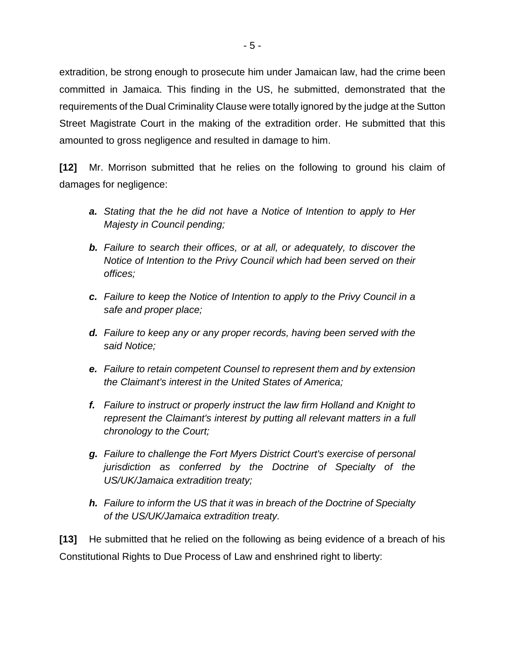extradition, be strong enough to prosecute him under Jamaican law, had the crime been committed in Jamaica. This finding in the US, he submitted, demonstrated that the requirements of the Dual Criminality Clause were totally ignored by the judge at the Sutton Street Magistrate Court in the making of the extradition order. He submitted that this amounted to gross negligence and resulted in damage to him.

**[12]** Mr. Morrison submitted that he relies on the following to ground his claim of damages for negligence:

- *a. Stating that the he did not have a Notice of Intention to apply to Her Majesty in Council pending;*
- *b. Failure to search their offices, or at all, or adequately, to discover the Notice of Intention to the Privy Council which had been served on their offices;*
- *c. Failure to keep the Notice of Intention to apply to the Privy Council in a safe and proper place;*
- *d. Failure to keep any or any proper records, having been served with the said Notice;*
- *e. Failure to retain competent Counsel to represent them and by extension the Claimant's interest in the United States of America;*
- *f. Failure to instruct or properly instruct the law firm Holland and Knight to represent the Claimant's interest by putting all relevant matters in a full chronology to the Court;*
- *g. Failure to challenge the Fort Myers District Court's exercise of personal jurisdiction as conferred by the Doctrine of Specialty of the US/UK/Jamaica extradition treaty;*
- *h. Failure to inform the US that it was in breach of the Doctrine of Specialty of the US/UK/Jamaica extradition treaty.*

**[13]** He submitted that he relied on the following as being evidence of a breach of his Constitutional Rights to Due Process of Law and enshrined right to liberty: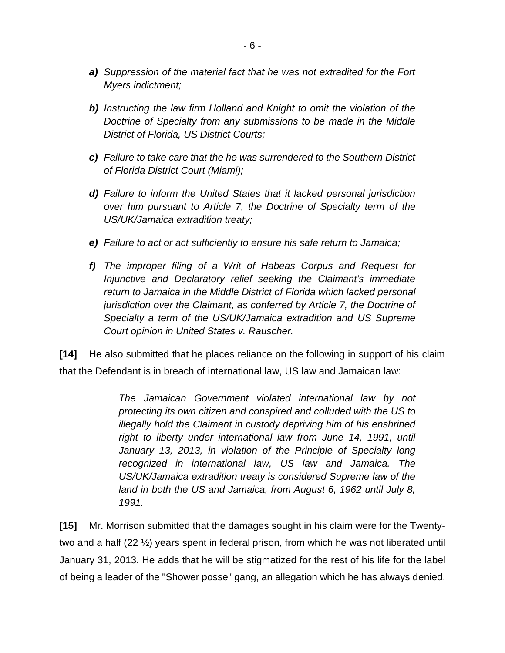- *a) Suppression of the material fact that he was not extradited for the Fort Myers indictment;*
- *b) Instructing the law firm Holland and Knight to omit the violation of the Doctrine of Specialty from any submissions to be made in the Middle District of Florida, US District Courts;*
- *c) Failure to take care that the he was surrendered to the Southern District of Florida District Court (Miami);*
- *d) Failure to inform the United States that it lacked personal jurisdiction over him pursuant to Article 7, the Doctrine of Specialty term of the US/UK/Jamaica extradition treaty;*
- *e) Failure to act or act sufficiently to ensure his safe return to Jamaica;*
- *f) The improper filing of a Writ of Habeas Corpus and Request for Injunctive and Declaratory relief seeking the Claimant's immediate return to Jamaica in the Middle District of Florida which lacked personal jurisdiction over the Claimant, as conferred by Article 7, the Doctrine of Specialty a term of the US/UK/Jamaica extradition and US Supreme Court opinion in United States v. Rauscher.*

**[14]** He also submitted that he places reliance on the following in support of his claim that the Defendant is in breach of international law, US law and Jamaican law:

> *The Jamaican Government violated international law by not protecting its own citizen and conspired and colluded with the US to illegally hold the Claimant in custody depriving him of his enshrined right to liberty under international law from June 14, 1991, until*  January 13, 2013, in violation of the Principle of Specialty long *recognized in international law, US law and Jamaica. The US/UK/Jamaica extradition treaty is considered Supreme law of the land in both the US and Jamaica, from August 6, 1962 until July 8, 1991.*

**[15]** Mr. Morrison submitted that the damages sought in his claim were for the Twentytwo and a half (22 ½) years spent in federal prison, from which he was not liberated until January 31, 2013. He adds that he will be stigmatized for the rest of his life for the label of being a leader of the "Shower posse" gang, an allegation which he has always denied.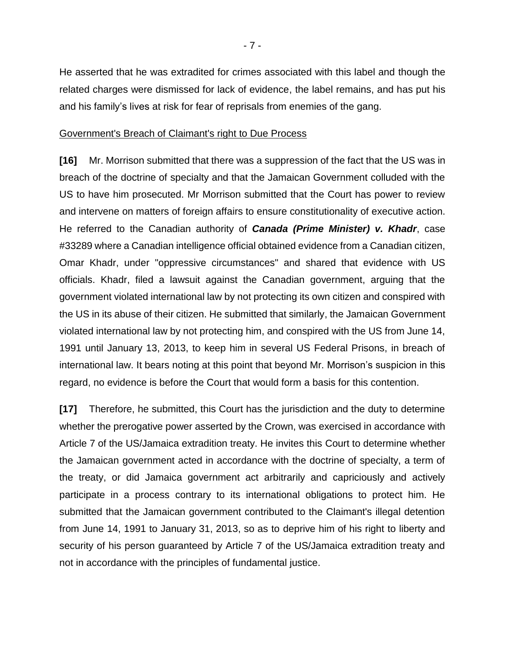He asserted that he was extradited for crimes associated with this label and though the related charges were dismissed for lack of evidence, the label remains, and has put his and his family's lives at risk for fear of reprisals from enemies of the gang.

#### Government's Breach of Claimant's right to Due Process

**[16]** Mr. Morrison submitted that there was a suppression of the fact that the US was in breach of the doctrine of specialty and that the Jamaican Government colluded with the US to have him prosecuted. Mr Morrison submitted that the Court has power to review and intervene on matters of foreign affairs to ensure constitutionality of executive action. He referred to the Canadian authority of *Canada (Prime Minister) v. Khadr*, case #33289 where a Canadian intelligence official obtained evidence from a Canadian citizen, Omar Khadr, under "oppressive circumstances" and shared that evidence with US officials. Khadr, filed a lawsuit against the Canadian government, arguing that the government violated international law by not protecting its own citizen and conspired with the US in its abuse of their citizen. He submitted that similarly, the Jamaican Government violated international law by not protecting him, and conspired with the US from June 14, 1991 until January 13, 2013, to keep him in several US Federal Prisons, in breach of international law. It bears noting at this point that beyond Mr. Morrison's suspicion in this regard, no evidence is before the Court that would form a basis for this contention.

**[17]** Therefore, he submitted, this Court has the jurisdiction and the duty to determine whether the prerogative power asserted by the Crown, was exercised in accordance with Article 7 of the US/Jamaica extradition treaty. He invites this Court to determine whether the Jamaican government acted in accordance with the doctrine of specialty, a term of the treaty, or did Jamaica government act arbitrarily and capriciously and actively participate in a process contrary to its international obligations to protect him. He submitted that the Jamaican government contributed to the Claimant's illegal detention from June 14, 1991 to January 31, 2013, so as to deprive him of his right to liberty and security of his person guaranteed by Article 7 of the US/Jamaica extradition treaty and not in accordance with the principles of fundamental justice.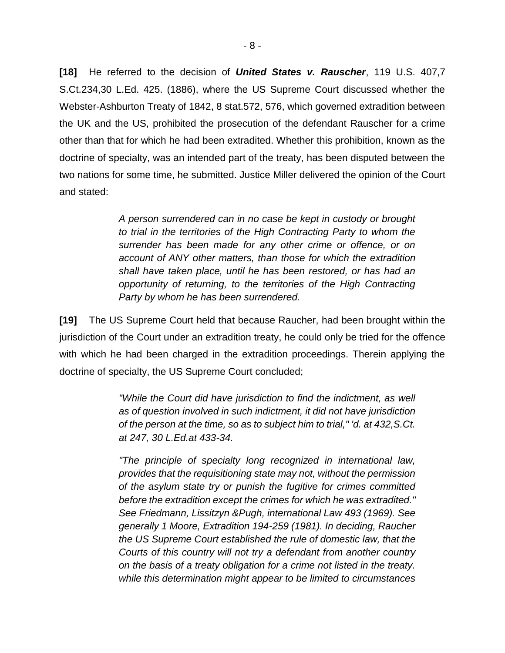**[18]** He referred to the decision of *United States v. Rauscher*, 119 U.S. 407,7 S.Ct.234,30 L.Ed. 425. (1886), where the US Supreme Court discussed whether the Webster-Ashburton Treaty of 1842, 8 stat.572, 576, which governed extradition between the UK and the US, prohibited the prosecution of the defendant Rauscher for a crime other than that for which he had been extradited. Whether this prohibition, known as the doctrine of specialty, was an intended part of the treaty, has been disputed between the two nations for some time, he submitted. Justice Miller delivered the opinion of the Court and stated:

> *A person surrendered can in no case be kept in custody or brought to trial in the territories of the High Contracting Party to whom the surrender has been made for any other crime or offence, or on account of ANY other matters, than those for which the extradition shall have taken place, until he has been restored, or has had an opportunity of returning, to the territories of the High Contracting Party by whom he has been surrendered.*

**[19]** The US Supreme Court held that because Raucher, had been brought within the jurisdiction of the Court under an extradition treaty, he could only be tried for the offence with which he had been charged in the extradition proceedings. Therein applying the doctrine of specialty, the US Supreme Court concluded;

> *"While the Court did have jurisdiction to find the indictment, as well as of question involved in such indictment, it did not have jurisdiction of the person at the time, so as to subject him to trial," 'd. at 432,S.Ct. at 247, 30 L.Ed.at 433-34.*

> *"The principle of specialty long recognized in international law, provides that the requisitioning state may not, without the permission of the asylum state try or punish the fugitive for crimes committed before the extradition except the crimes for which he was extradited." See Friedmann, Lissitzyn &Pugh, international Law 493 (1969). See generally 1 Moore, Extradition 194-259 (1981). In deciding, Raucher the US Supreme Court established the rule of domestic law, that the Courts of this country will not try a defendant from another country on the basis of a treaty obligation for a crime not listed in the treaty. while this determination might appear to be limited to circumstances*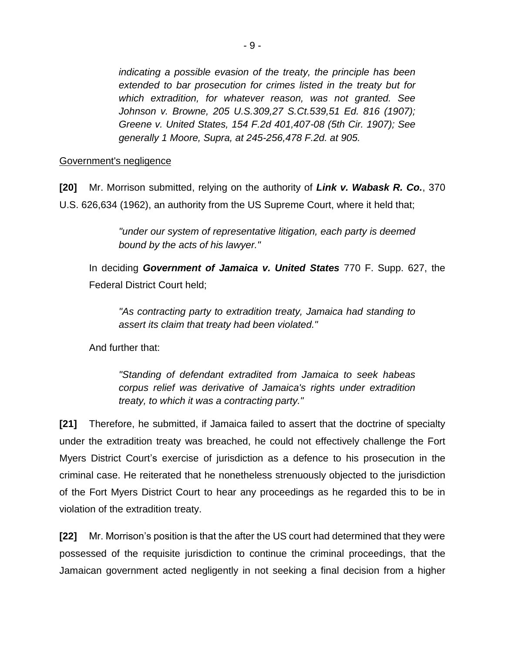*indicating a possible evasion of the treaty, the principle has been extended to bar prosecution for crimes listed in the treaty but for which extradition, for whatever reason, was not granted. See Johnson v. Browne, 205 U.S.309,27 S.Ct.539,51 Ed. 816 (1907); Greene v. United States, 154 F.2d 401,407-08 (5th Cir. 1907); See generally 1 Moore, Supra, at 245-256,478 F.2d. at 905.*

#### Government's negligence

**[20]** Mr. Morrison submitted, relying on the authority of *Link v. Wabask R. Co.*, 370 U.S. 626,634 (1962), an authority from the US Supreme Court, where it held that;

> *"under our system of representative litigation, each party is deemed bound by the acts of his lawyer."*

In deciding *Government of Jamaica v. United States* 770 F. Supp. 627, the Federal District Court held;

*"As contracting party to extradition treaty, Jamaica had standing to assert its claim that treaty had been violated."* 

And further that:

*"Standing of defendant extradited from Jamaica to seek habeas corpus relief was derivative of Jamaica's rights under extradition treaty, to which it was a contracting party."* 

**[21]** Therefore, he submitted, if Jamaica failed to assert that the doctrine of specialty under the extradition treaty was breached, he could not effectively challenge the Fort Myers District Court's exercise of jurisdiction as a defence to his prosecution in the criminal case. He reiterated that he nonetheless strenuously objected to the jurisdiction of the Fort Myers District Court to hear any proceedings as he regarded this to be in violation of the extradition treaty.

**[22]** Mr. Morrison's position is that the after the US court had determined that they were possessed of the requisite jurisdiction to continue the criminal proceedings, that the Jamaican government acted negligently in not seeking a final decision from a higher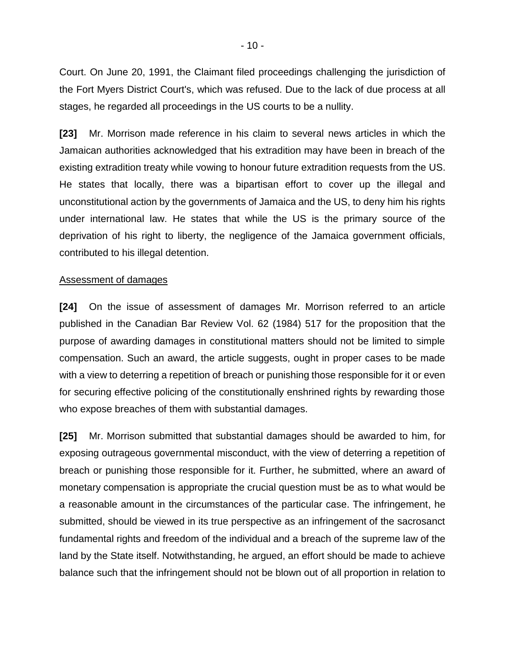Court. On June 20, 1991, the Claimant filed proceedings challenging the jurisdiction of the Fort Myers District Court's, which was refused. Due to the lack of due process at all stages, he regarded all proceedings in the US courts to be a nullity.

**[23]** Mr. Morrison made reference in his claim to several news articles in which the Jamaican authorities acknowledged that his extradition may have been in breach of the existing extradition treaty while vowing to honour future extradition requests from the US. He states that locally, there was a bipartisan effort to cover up the illegal and unconstitutional action by the governments of Jamaica and the US, to deny him his rights under international law. He states that while the US is the primary source of the deprivation of his right to liberty, the negligence of the Jamaica government officials, contributed to his illegal detention.

#### Assessment of damages

**[24]** On the issue of assessment of damages Mr. Morrison referred to an article published in the Canadian Bar Review Vol. 62 (1984) 517 for the proposition that the purpose of awarding damages in constitutional matters should not be limited to simple compensation. Such an award, the article suggests, ought in proper cases to be made with a view to deterring a repetition of breach or punishing those responsible for it or even for securing effective policing of the constitutionally enshrined rights by rewarding those who expose breaches of them with substantial damages.

**[25]** Mr. Morrison submitted that substantial damages should be awarded to him, for exposing outrageous governmental misconduct, with the view of deterring a repetition of breach or punishing those responsible for it. Further, he submitted, where an award of monetary compensation is appropriate the crucial question must be as to what would be a reasonable amount in the circumstances of the particular case. The infringement, he submitted, should be viewed in its true perspective as an infringement of the sacrosanct fundamental rights and freedom of the individual and a breach of the supreme law of the land by the State itself. Notwithstanding, he argued, an effort should be made to achieve balance such that the infringement should not be blown out of all proportion in relation to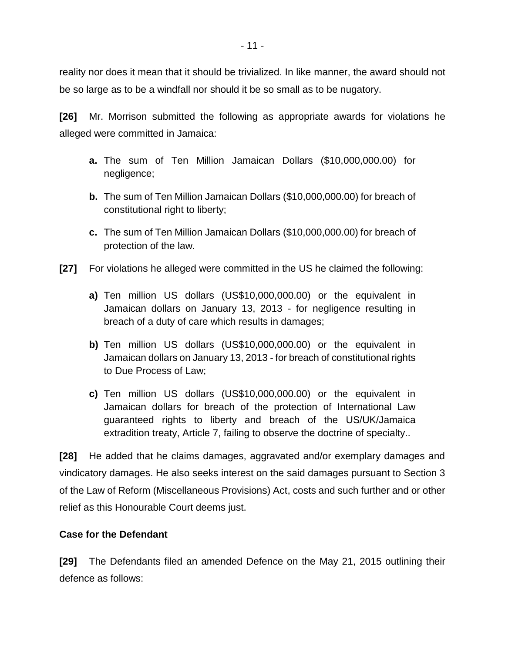reality nor does it mean that it should be trivialized. In like manner, the award should not be so large as to be a windfall nor should it be so small as to be nugatory.

**[26]** Mr. Morrison submitted the following as appropriate awards for violations he alleged were committed in Jamaica:

- **a.** The sum of Ten Million Jamaican Dollars (\$10,000,000.00) for negligence;
- **b.** The sum of Ten Million Jamaican Dollars (\$10,000,000.00) for breach of constitutional right to liberty;
- **c.** The sum of Ten Million Jamaican Dollars (\$10,000,000.00) for breach of protection of the law.
- **[27]** For violations he alleged were committed in the US he claimed the following:
	- **a)** Ten million US dollars (US\$10,000,000.00) or the equivalent in Jamaican dollars on January 13, 2013 - for negligence resulting in breach of a duty of care which results in damages;
	- **b)** Ten million US dollars (US\$10,000,000.00) or the equivalent in Jamaican dollars on January 13, 2013 - for breach of constitutional rights to Due Process of Law;
	- **c)** Ten million US dollars (US\$10,000,000.00) or the equivalent in Jamaican dollars for breach of the protection of International Law guaranteed rights to liberty and breach of the US/UK/Jamaica extradition treaty, Article 7, failing to observe the doctrine of specialty..

**[28]** He added that he claims damages, aggravated and/or exemplary damages and vindicatory damages. He also seeks interest on the said damages pursuant to Section 3 of the Law of Reform (Miscellaneous Provisions) Act, costs and such further and or other relief as this Honourable Court deems just.

# **Case for the Defendant**

**[29]** The Defendants filed an amended Defence on the May 21, 2015 outlining their defence as follows: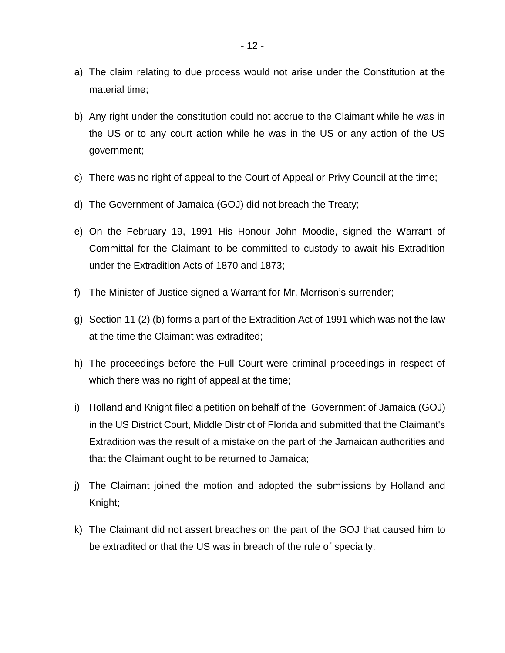- a) The claim relating to due process would not arise under the Constitution at the material time;
- b) Any right under the constitution could not accrue to the Claimant while he was in the US or to any court action while he was in the US or any action of the US government;
- c) There was no right of appeal to the Court of Appeal or Privy Council at the time;
- d) The Government of Jamaica (GOJ) did not breach the Treaty;
- e) On the February 19, 1991 His Honour John Moodie, signed the Warrant of Committal for the Claimant to be committed to custody to await his Extradition under the Extradition Acts of 1870 and 1873;
- f) The Minister of Justice signed a Warrant for Mr. Morrison's surrender;
- g) Section 11 (2) (b) forms a part of the Extradition Act of 1991 which was not the law at the time the Claimant was extradited;
- h) The proceedings before the Full Court were criminal proceedings in respect of which there was no right of appeal at the time;
- i) Holland and Knight filed a petition on behalf of the Government of Jamaica (GOJ) in the US District Court, Middle District of Florida and submitted that the Claimant's Extradition was the result of a mistake on the part of the Jamaican authorities and that the Claimant ought to be returned to Jamaica;
- j) The Claimant joined the motion and adopted the submissions by Holland and Knight;
- k) The Claimant did not assert breaches on the part of the GOJ that caused him to be extradited or that the US was in breach of the rule of specialty.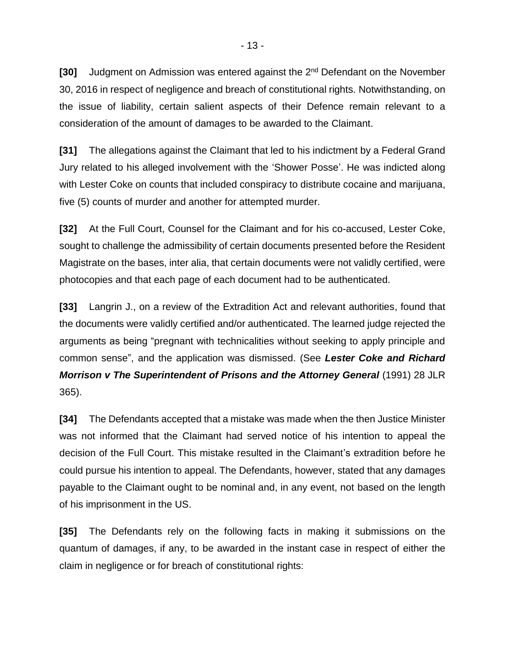**[30]** Judgment on Admission was entered against the 2nd Defendant on the November 30, 2016 in respect of negligence and breach of constitutional rights. Notwithstanding, on the issue of liability, certain salient aspects of their Defence remain relevant to a consideration of the amount of damages to be awarded to the Claimant.

**[31]** The allegations against the Claimant that led to his indictment by a Federal Grand Jury related to his alleged involvement with the 'Shower Posse'. He was indicted along with Lester Coke on counts that included conspiracy to distribute cocaine and marijuana, five (5) counts of murder and another for attempted murder.

**[32]** At the Full Court, Counsel for the Claimant and for his co-accused, Lester Coke, sought to challenge the admissibility of certain documents presented before the Resident Magistrate on the bases, inter alia, that certain documents were not validly certified, were photocopies and that each page of each document had to be authenticated.

**[33]** Langrin J., on a review of the Extradition Act and relevant authorities, found that the documents were validly certified and/or authenticated. The learned judge rejected the arguments as being "pregnant with technicalities without seeking to apply principle and common sense", and the application was dismissed. (See *Lester Coke and Richard Morrison v The Superintendent of Prisons and the Attorney General* (1991) 28 JLR 365).

**[34]** The Defendants accepted that a mistake was made when the then Justice Minister was not informed that the Claimant had served notice of his intention to appeal the decision of the Full Court. This mistake resulted in the Claimant's extradition before he could pursue his intention to appeal. The Defendants, however, stated that any damages payable to the Claimant ought to be nominal and, in any event, not based on the length of his imprisonment in the US.

**[35]** The Defendants rely on the following facts in making it submissions on the quantum of damages, if any, to be awarded in the instant case in respect of either the claim in negligence or for breach of constitutional rights: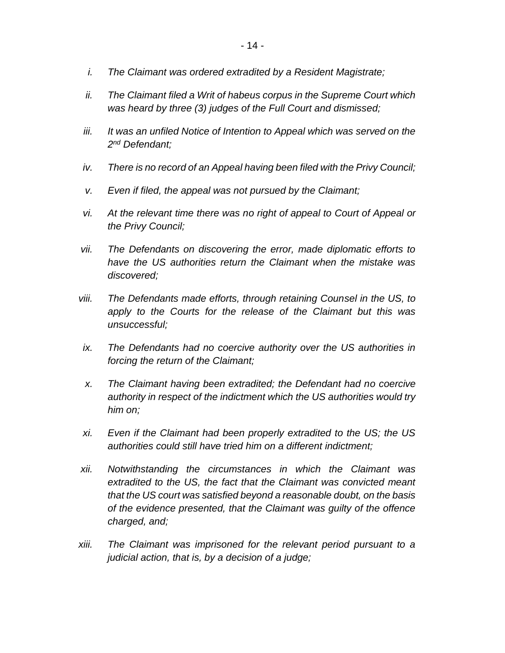- *i. The Claimant was ordered extradited by a Resident Magistrate;*
- *ii. The Claimant filed a Writ of habeus corpus in the Supreme Court which was heard by three (3) judges of the Full Court and dismissed;*
- *iii. It was an unfiled Notice of Intention to Appeal which was served on the 2 nd Defendant;*
- *iv. There is no record of an Appeal having been filed with the Privy Council;*
- *v. Even if filed, the appeal was not pursued by the Claimant;*
- *vi. At the relevant time there was no right of appeal to Court of Appeal or the Privy Council;*
- *vii. The Defendants on discovering the error, made diplomatic efforts to have the US authorities return the Claimant when the mistake was discovered;*
- *viii. The Defendants made efforts, through retaining Counsel in the US, to apply to the Courts for the release of the Claimant but this was unsuccessful;*
- *ix. The Defendants had no coercive authority over the US authorities in forcing the return of the Claimant;*
- *x. The Claimant having been extradited; the Defendant had no coercive authority in respect of the indictment which the US authorities would try him on;*
- *xi. Even if the Claimant had been properly extradited to the US; the US authorities could still have tried him on a different indictment;*
- *xii. Notwithstanding the circumstances in which the Claimant was extradited to the US, the fact that the Claimant was convicted meant that the US court was satisfied beyond a reasonable doubt, on the basis of the evidence presented, that the Claimant was guilty of the offence charged, and;*
- *xiii. The Claimant was imprisoned for the relevant period pursuant to a judicial action, that is, by a decision of a judge;*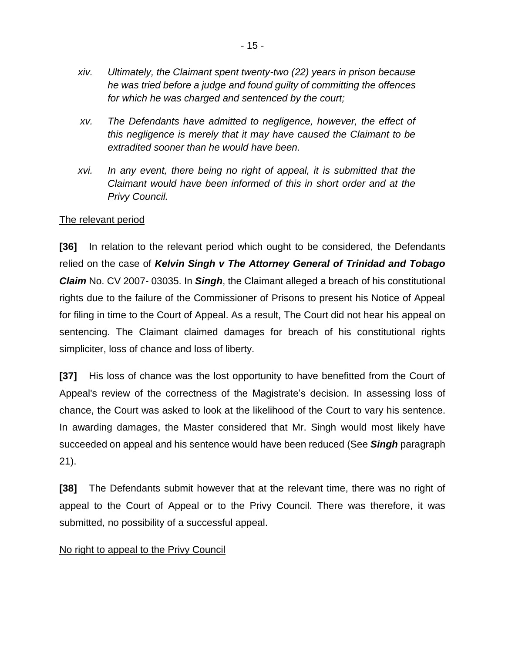- *xiv. Ultimately, the Claimant spent twenty-two (22) years in prison because he was tried before a judge and found guilty of committing the offences for which he was charged and sentenced by the court;*
- *xv. The Defendants have admitted to negligence, however, the effect of this negligence is merely that it may have caused the Claimant to be extradited sooner than he would have been.*
- *xvi. In any event, there being no right of appeal, it is submitted that the Claimant would have been informed of this in short order and at the Privy Council.*

#### The relevant period

**[36]** In relation to the relevant period which ought to be considered, the Defendants relied on the case of *Kelvin Singh v The Attorney General of Trinidad and Tobago Claim* No. CV 2007- 03035. In *Singh*, the Claimant alleged a breach of his constitutional rights due to the failure of the Commissioner of Prisons to present his Notice of Appeal for filing in time to the Court of Appeal. As a result, The Court did not hear his appeal on sentencing. The Claimant claimed damages for breach of his constitutional rights simpliciter, loss of chance and loss of liberty.

**[37]** His loss of chance was the lost opportunity to have benefitted from the Court of Appeal's review of the correctness of the Magistrate's decision. In assessing loss of chance, the Court was asked to look at the likelihood of the Court to vary his sentence. In awarding damages, the Master considered that Mr. Singh would most likely have succeeded on appeal and his sentence would have been reduced (See *Singh* paragraph 21).

**[38]** The Defendants submit however that at the relevant time, there was no right of appeal to the Court of Appeal or to the Privy Council. There was therefore, it was submitted, no possibility of a successful appeal.

#### No right to appeal to the Privy Council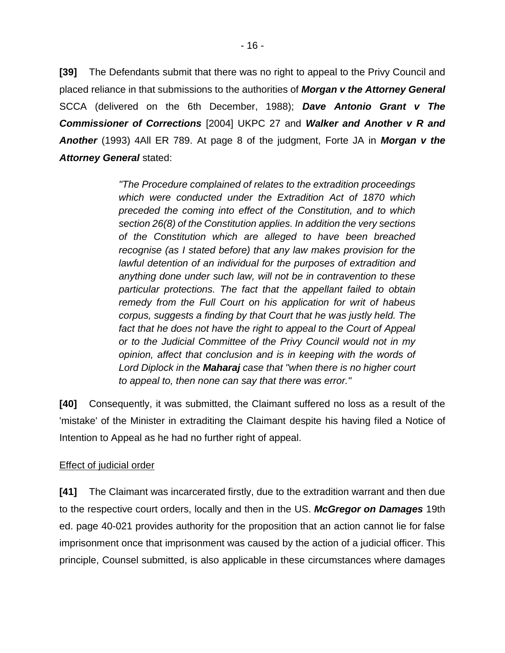**[39]** The Defendants submit that there was no right to appeal to the Privy Council and placed reliance in that submissions to the authorities of *Morgan v the Attorney General* SCCA (delivered on the 6th December, 1988); *Dave Antonio Grant v The Commissioner of Corrections* [2004] UKPC 27 and *Walker and Another v R and Another* (1993) 4All ER 789. At page 8 of the judgment, Forte JA in *Morgan v the Attorney General* stated:

> *"The Procedure complained of relates to the extradition proceedings which were conducted under the Extradition Act of 1870 which preceded the coming into effect of the Constitution, and to which section 26(8) of the Constitution applies. In addition the very sections of the Constitution which are alleged to have been breached recognise (as I stated before) that any law makes provision for the lawful detention of an individual for the purposes of extradition and anything done under such law, will not be in contravention to these particular protections. The fact that the appellant failed to obtain remedy from the Full Court on his application for writ of habeus corpus, suggests a finding by that Court that he was justly held. The fact that he does not have the right to appeal to the Court of Appeal or to the Judicial Committee of the Privy Council would not in my opinion, affect that conclusion and is in keeping with the words of Lord Diplock in the Maharaj case that "when there is no higher court to appeal to, then none can say that there was error."*

**[40]** Consequently, it was submitted, the Claimant suffered no loss as a result of the 'mistake' of the Minister in extraditing the Claimant despite his having filed a Notice of Intention to Appeal as he had no further right of appeal.

# **Effect of judicial order**

**[41]** The Claimant was incarcerated firstly, due to the extradition warrant and then due to the respective court orders, locally and then in the US. *McGregor on Damages* 19th ed. page 40-021 provides authority for the proposition that an action cannot lie for false imprisonment once that imprisonment was caused by the action of a judicial officer. This principle, Counsel submitted, is also applicable in these circumstances where damages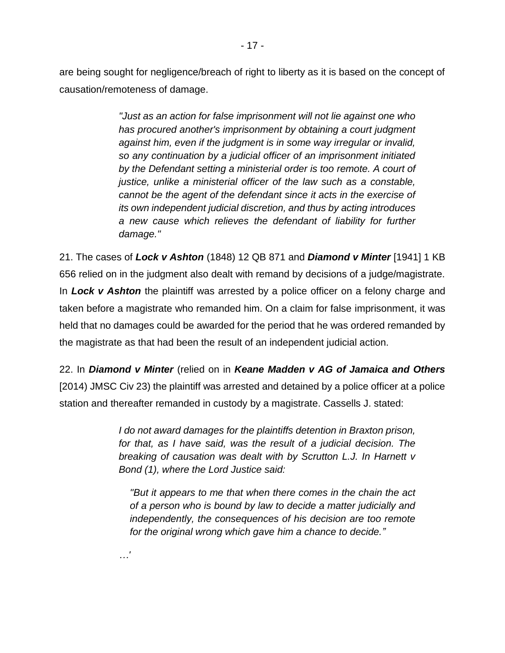are being sought for negligence/breach of right to liberty as it is based on the concept of causation/remoteness of damage.

> *"Just as an action for false imprisonment will not lie against one who has procured another's imprisonment by obtaining a court judgment against him, even if the judgment is in some way irregular or invalid, so any continuation by a judicial officer of an imprisonment initiated by the Defendant setting a ministerial order is too remote. A court of justice, unlike a ministerial officer of the law such as a constable, cannot be the agent of the defendant since it acts in the exercise of its own independent judicial discretion, and thus by acting introduces a new cause which relieves the defendant of liability for further damage."*

21. The cases of *Lock v Ashton* (1848) 12 QB 871 and *Diamond v Minter* [1941] 1 KB 656 relied on in the judgment also dealt with remand by decisions of a judge/magistrate. In *Lock v Ashton* the plaintiff was arrested by a police officer on a felony charge and taken before a magistrate who remanded him. On a claim for false imprisonment, it was held that no damages could be awarded for the period that he was ordered remanded by the magistrate as that had been the result of an independent judicial action.

22. In *Diamond v Minter* (relied on in *Keane Madden v AG of Jamaica and Others* [2014) JMSC Civ 23) the plaintiff was arrested and detained by a police officer at a police station and thereafter remanded in custody by a magistrate. Cassells J. stated:

> *I do not award damages for the plaintiffs detention in Braxton prison, for that, as I have said, was the result of a judicial decision. The breaking of causation was dealt with by Scrutton L.J. In Harnett v Bond (1), where the Lord Justice said:*

*"But it appears to me that when there comes in the chain the act of a person who is bound by law to decide a matter judicially and independently, the consequences of his decision are too remote for the original wrong which gave him a chance to decide."*

*…'*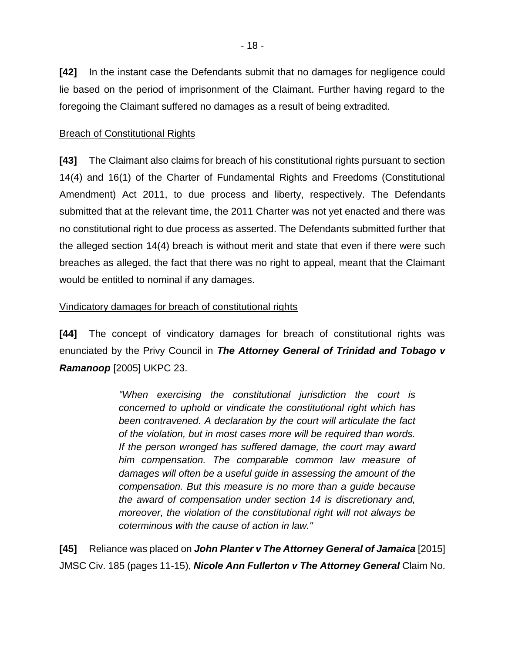**[42]** In the instant case the Defendants submit that no damages for negligence could lie based on the period of imprisonment of the Claimant. Further having regard to the foregoing the Claimant suffered no damages as a result of being extradited.

#### Breach of Constitutional Rights

**[43]** The Claimant also claims for breach of his constitutional rights pursuant to section 14(4) and 16(1) of the Charter of Fundamental Rights and Freedoms (Constitutional Amendment) Act 2011, to due process and liberty, respectively. The Defendants submitted that at the relevant time, the 2011 Charter was not yet enacted and there was no constitutional right to due process as asserted. The Defendants submitted further that the alleged section 14(4) breach is without merit and state that even if there were such breaches as alleged, the fact that there was no right to appeal, meant that the Claimant would be entitled to nominal if any damages.

## Vindicatory damages for breach of constitutional rights

**[44]** The concept of vindicatory damages for breach of constitutional rights was enunciated by the Privy Council in *The Attorney General of Trinidad and Tobago v Ramanoop* [2005] UKPC 23.

> *"When exercising the constitutional jurisdiction the court is concerned to uphold or vindicate the constitutional right which has been contravened. A declaration by the court will articulate the fact of the violation, but in most cases more will be required than words. If the person wronged has suffered damage, the court may award him compensation. The comparable common law measure of damages will often be a useful guide in assessing the amount of the compensation. But this measure is no more than a guide because the award of compensation under section 14 is discretionary and, moreover, the violation of the constitutional right will not always be coterminous with the cause of action in law."*

**[45]** Reliance was placed on *John Planter v The Attorney General of Jamaica* [2015] JMSC Civ. 185 (pages 11-15), *Nicole Ann Fullerton v The Attorney General* Claim No.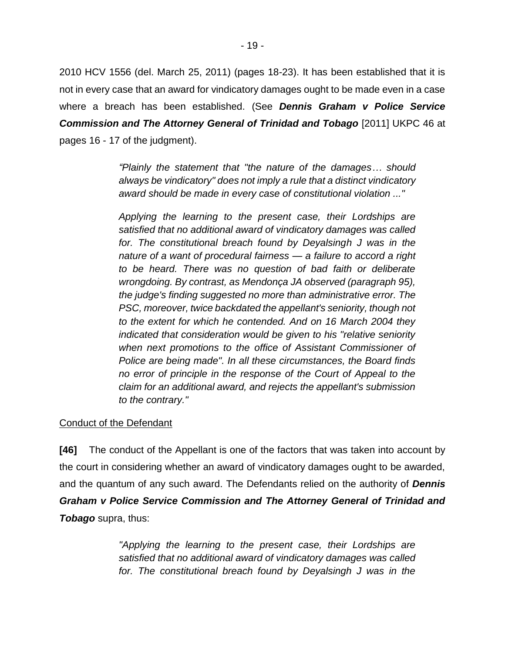2010 HCV 1556 (del. March 25, 2011) (pages 18-23). It has been established that it is not in every case that an award for vindicatory damages ought to be made even in a case where a breach has been established. (See *Dennis Graham v Police Service Commission and The Attorney General of Trinidad and Tobago* [2011] UKPC 46 at pages 16 - 17 of the judgment).

> *"Plainly the statement that "the nature of the damages… should always be vindicatory" does not imply a rule that a distinct vindicatory award should be made in every case of constitutional violation ..."*

> *Applying the learning to the present case, their Lordships are satisfied that no additional award of vindicatory damages was called for. The constitutional breach found by Deyalsingh J was in the nature of a want of procedural fairness — a failure to accord a right to be heard. There was no question of bad faith or deliberate wrongdoing. By contrast, as Mendonça JA observed (paragraph 95), the judge's finding suggested no more than administrative error. The PSC, moreover, twice backdated the appellant's seniority, though not to the extent for which he contended. And on 16 March 2004 they indicated that consideration would be given to his "relative seniority when next promotions to the office of Assistant Commissioner of Police are being made". In all these circumstances, the Board finds no error of principle in the response of the Court of Appeal to the claim for an additional award, and rejects the appellant's submission to the contrary."*

#### Conduct of the Defendant

**[46]** The conduct of the Appellant is one of the factors that was taken into account by the court in considering whether an award of vindicatory damages ought to be awarded, and the quantum of any such award. The Defendants relied on the authority of *Dennis Graham v Police Service Commission and The Attorney General of Trinidad and Tobago* supra, thus:

> *"Applying the learning to the present case, their Lordships are satisfied that no additional award of vindicatory damages was called*  for. The constitutional breach found by Deyalsingh J was in the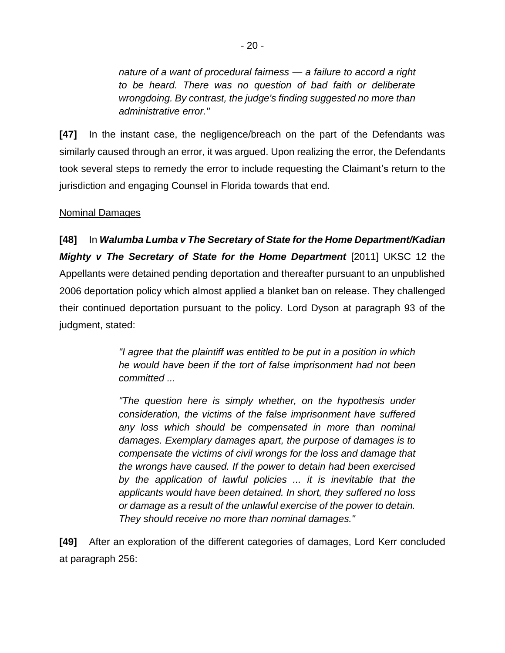*nature of a want of procedural fairness — a failure to accord a right to be heard. There was no question of bad faith or deliberate wrongdoing. By contrast, the judge's finding suggested no more than administrative error."*

**[47]** In the instant case, the negligence/breach on the part of the Defendants was similarly caused through an error, it was argued. Upon realizing the error, the Defendants took several steps to remedy the error to include requesting the Claimant's return to the jurisdiction and engaging Counsel in Florida towards that end.

## Nominal Damages

**[48]** In *Walumba Lumba v The Secretary of State for the Home Department/Kadian Mighty v The Secretary of State for the Home Department* [2011] UKSC 12 the Appellants were detained pending deportation and thereafter pursuant to an unpublished 2006 deportation policy which almost applied a blanket ban on release. They challenged their continued deportation pursuant to the policy. Lord Dyson at paragraph 93 of the judgment, stated:

> *"I agree that the plaintiff was entitled to be put in a position in which he would have been if the tort of false imprisonment had not been committed ...*

> *"The question here is simply whether, on the hypothesis under consideration, the victims of the false imprisonment have suffered any loss which should be compensated in more than nominal damages. Exemplary damages apart, the purpose of damages is to compensate the victims of civil wrongs for the loss and damage that the wrongs have caused. If the power to detain had been exercised by the application of lawful policies ... it is inevitable that the applicants would have been detained. In short, they suffered no loss or damage as a result of the unlawful exercise of the power to detain. They should receive no more than nominal damages."*

**[49]** After an exploration of the different categories of damages, Lord Kerr concluded at paragraph 256: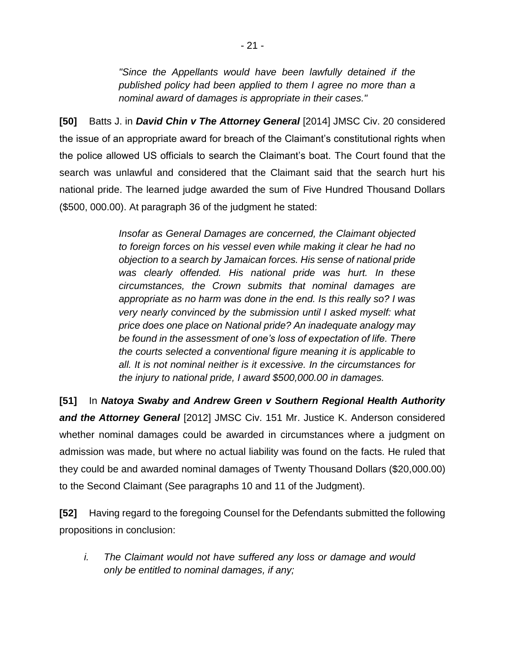*"Since the Appellants would have been lawfully detained if the published policy had been applied to them I agree no more than a nominal award of damages is appropriate in their cases."* 

**[50]** Batts J. in *David Chin v The Attorney General* [2014] JMSC Civ. 20 considered the issue of an appropriate award for breach of the Claimant's constitutional rights when the police allowed US officials to search the Claimant's boat. The Court found that the search was unlawful and considered that the Claimant said that the search hurt his national pride. The learned judge awarded the sum of Five Hundred Thousand Dollars (\$500, 000.00). At paragraph 36 of the judgment he stated:

> *Insofar as General Damages are concerned, the Claimant objected to foreign forces on his vessel even while making it clear he had no objection to a search by Jamaican forces. His sense of national pride was clearly offended. His national pride was hurt. In these circumstances, the Crown submits that nominal damages are appropriate as no harm was done in the end. Is this really so? I was very nearly convinced by the submission until I asked myself: what price does one place on National pride? An inadequate analogy may be found in the assessment of one's loss of expectation of life. There the courts selected a conventional figure meaning it is applicable to all. It is not nominal neither is it excessive. In the circumstances for the injury to national pride, I award \$500,000.00 in damages.*

**[51]** In *Natoya Swaby and Andrew Green v Southern Regional Health Authority and the Attorney General* [2012] JMSC Civ. 151 Mr. Justice K. Anderson considered whether nominal damages could be awarded in circumstances where a judgment on admission was made, but where no actual liability was found on the facts. He ruled that they could be and awarded nominal damages of Twenty Thousand Dollars (\$20,000.00) to the Second Claimant (See paragraphs 10 and 11 of the Judgment).

**[52]** Having regard to the foregoing Counsel for the Defendants submitted the following propositions in conclusion:

*i. The Claimant would not have suffered any loss or damage and would only be entitled to nominal damages, if any;*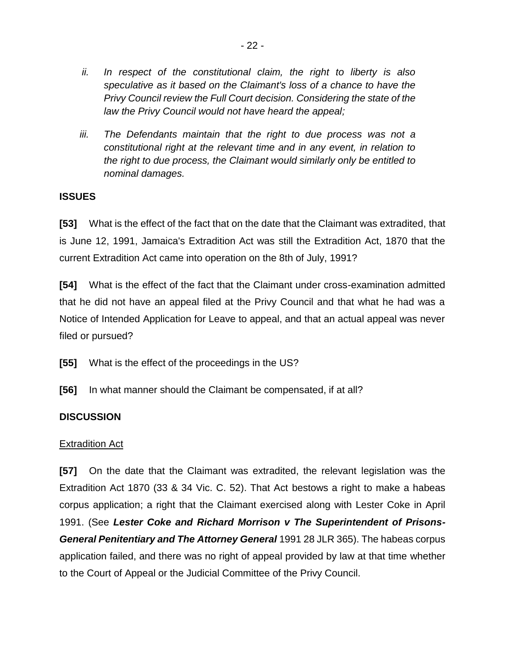- *ii. In respect of the constitutional claim, the right to liberty is also speculative as it based on the Claimant's loss of a chance to have the Privy Council review the Full Court decision. Considering the state of the law the Privy Council would not have heard the appeal;*
- *iii. The Defendants maintain that the right to due process was not a constitutional right at the relevant time and in any event, in relation to the right to due process, the Claimant would similarly only be entitled to nominal damages.*

#### **ISSUES**

**[53]** What is the effect of the fact that on the date that the Claimant was extradited, that is June 12, 1991, Jamaica's Extradition Act was still the Extradition Act, 1870 that the current Extradition Act came into operation on the 8th of July, 1991?

**[54]** What is the effect of the fact that the Claimant under cross-examination admitted that he did not have an appeal filed at the Privy Council and that what he had was a Notice of Intended Application for Leave to appeal, and that an actual appeal was never filed or pursued?

- **[55]** What is the effect of the proceedings in the US?
- **[56]** In what manner should the Claimant be compensated, if at all?

#### **DISCUSSION**

#### Extradition Act

**[57]** On the date that the Claimant was extradited, the relevant legislation was the Extradition Act 1870 (33 & 34 Vic. C. 52). That Act bestows a right to make a habeas corpus application; a right that the Claimant exercised along with Lester Coke in April 1991. (See *Lester Coke and Richard Morrison v The Superintendent of Prisons-General Penitentiary and The Attorney General* 1991 28 JLR 365). The habeas corpus application failed, and there was no right of appeal provided by law at that time whether to the Court of Appeal or the Judicial Committee of the Privy Council.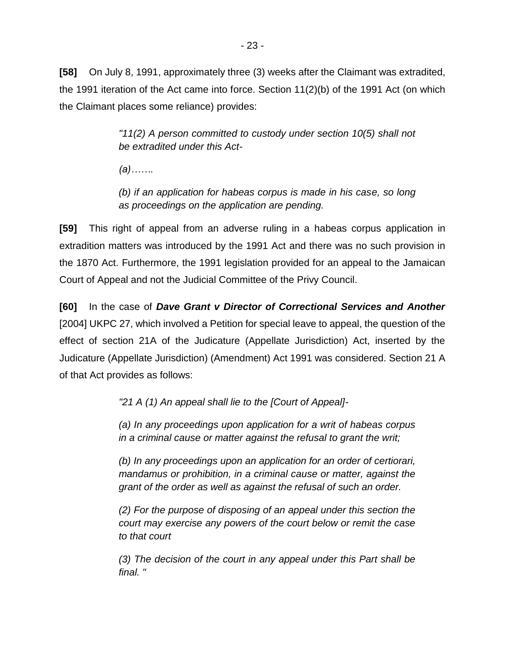**[58]** On July 8, 1991, approximately three (3) weeks after the Claimant was extradited, the 1991 iteration of the Act came into force. Section 11(2)(b) of the 1991 Act (on which the Claimant places some reliance) provides:

> *"11(2) A person committed to custody under section 10(5) shall not be extradited under this Act-*

*(a)…….*

*(b) if an application for habeas corpus is made in his case, so long as proceedings on the application are pending.*

**[59]** This right of appeal from an adverse ruling in a habeas corpus application in extradition matters was introduced by the 1991 Act and there was no such provision in the 1870 Act. Furthermore, the 1991 legislation provided for an appeal to the Jamaican Court of Appeal and not the Judicial Committee of the Privy Council.

**[60]** In the case of *Dave Grant v Director of Correctional Services and Another* [2004] UKPC 27, which involved a Petition for special leave to appeal, the question of the effect of section 21A of the Judicature (Appellate Jurisdiction) Act, inserted by the Judicature (Appellate Jurisdiction) (Amendment) Act 1991 was considered. Section 21 A of that Act provides as follows:

*"21 A (1) An appeal shall lie to the [Court of Appeal]-*

*(a) In any proceedings upon application for a writ of habeas corpus in a criminal cause or matter against the refusal to grant the writ;*

*(b) In any proceedings upon an application for an order of certiorari, mandamus or prohibition, in a criminal cause or matter, against the grant of the order as well as against the refusal of such an order.*

*(2) For the purpose of disposing of an appeal under this section the court may exercise any powers of the court below or remit the case to that court*

*(3) The decision of the court in any appeal under this Part shall be final. "*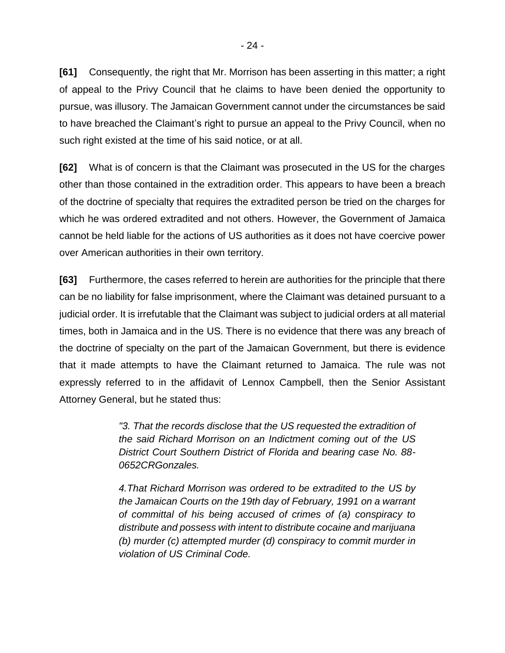**[61]** Consequently, the right that Mr. Morrison has been asserting in this matter; a right of appeal to the Privy Council that he claims to have been denied the opportunity to pursue, was illusory. The Jamaican Government cannot under the circumstances be said to have breached the Claimant's right to pursue an appeal to the Privy Council, when no such right existed at the time of his said notice, or at all.

**[62]** What is of concern is that the Claimant was prosecuted in the US for the charges other than those contained in the extradition order. This appears to have been a breach of the doctrine of specialty that requires the extradited person be tried on the charges for which he was ordered extradited and not others. However, the Government of Jamaica cannot be held liable for the actions of US authorities as it does not have coercive power over American authorities in their own territory.

**[63]** Furthermore, the cases referred to herein are authorities for the principle that there can be no liability for false imprisonment, where the Claimant was detained pursuant to a judicial order. It is irrefutable that the Claimant was subject to judicial orders at all material times, both in Jamaica and in the US. There is no evidence that there was any breach of the doctrine of specialty on the part of the Jamaican Government, but there is evidence that it made attempts to have the Claimant returned to Jamaica. The rule was not expressly referred to in the affidavit of Lennox Campbell, then the Senior Assistant Attorney General, but he stated thus:

> *"3. That the records disclose that the US requested the extradition of the said Richard Morrison on an Indictment coming out of the US District Court Southern District of Florida and bearing case No. 88- 0652CRGonzales.*

> *4.That Richard Morrison was ordered to be extradited to the US by the Jamaican Courts on the 19th day of February, 1991 on a warrant of committal of his being accused of crimes of (a) conspiracy to distribute and possess with intent to distribute cocaine and marijuana (b) murder (c) attempted murder (d) conspiracy to commit murder in violation of US Criminal Code.*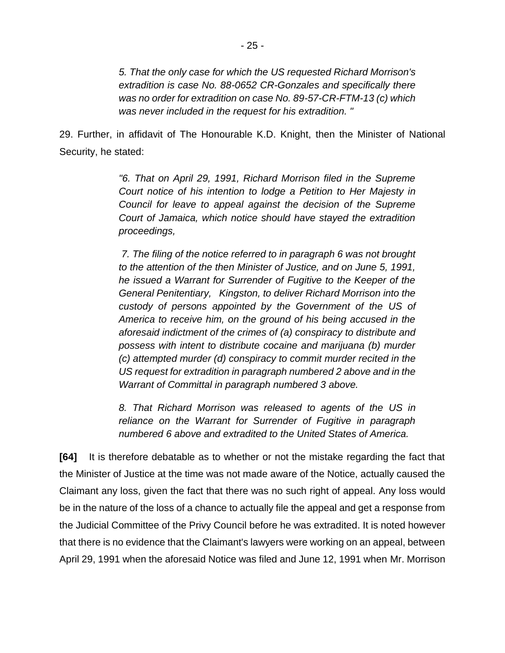*5. That the only case for which the US requested Richard Morrison's extradition is case No. 88-0652 CR-Gonzales and specifically there was no order for extradition on case No. 89-57-CR-FTM-13 (c) which was never included in the request for his extradition. "*

29. Further, in affidavit of The Honourable K.D. Knight, then the Minister of National Security, he stated:

> *"6. That on April 29, 1991, Richard Morrison filed in the Supreme Court notice of his intention to lodge a Petition to Her Majesty in Council for leave to appeal against the decision of the Supreme Court of Jamaica, which notice should have stayed the extradition proceedings,*

> *7. The filing of the notice referred to in paragraph 6 was not brought to the attention of the then Minister of Justice, and on June 5, 1991, he issued a Warrant for Surrender of Fugitive to the Keeper of the General Penitentiary, Kingston, to deliver Richard Morrison into the custody of persons appointed by the Government of the US of America to receive him, on the ground of his being accused in the aforesaid indictment of the crimes of (a) conspiracy to distribute and possess with intent to distribute cocaine and marijuana (b) murder (c) attempted murder (d) conspiracy to commit murder recited in the US request for extradition in paragraph numbered 2 above and in the Warrant of Committal in paragraph numbered 3 above.*

> *8. That Richard Morrison was released to agents of the US in reliance on the Warrant for Surrender of Fugitive in paragraph numbered 6 above and extradited to the United States of America.*

**[64]** It is therefore debatable as to whether or not the mistake regarding the fact that the Minister of Justice at the time was not made aware of the Notice, actually caused the Claimant any loss, given the fact that there was no such right of appeal. Any loss would be in the nature of the loss of a chance to actually file the appeal and get a response from the Judicial Committee of the Privy Council before he was extradited. It is noted however that there is no evidence that the Claimant's lawyers were working on an appeal, between April 29, 1991 when the aforesaid Notice was filed and June 12, 1991 when Mr. Morrison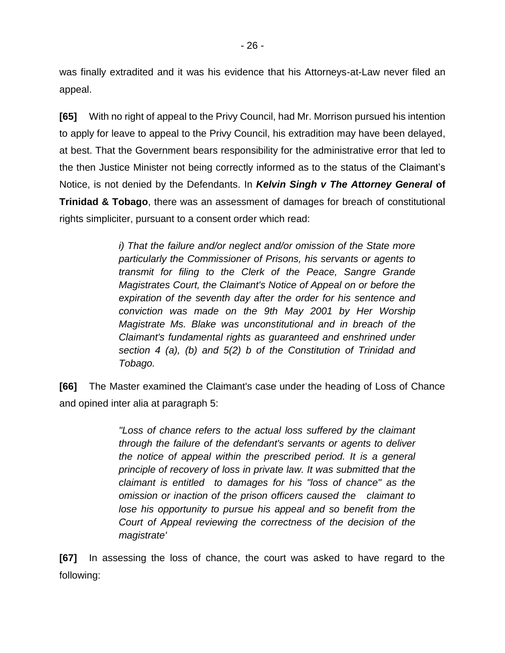was finally extradited and it was his evidence that his Attorneys-at-Law never filed an appeal.

**[65]** With no right of appeal to the Privy Council, had Mr. Morrison pursued his intention to apply for leave to appeal to the Privy Council, his extradition may have been delayed, at best. That the Government bears responsibility for the administrative error that led to the then Justice Minister not being correctly informed as to the status of the Claimant's Notice, is not denied by the Defendants. In *Kelvin Singh v The Attorney General* **of Trinidad & Tobago**, there was an assessment of damages for breach of constitutional rights simpliciter, pursuant to a consent order which read:

> *i) That the failure and/or neglect and/or omission of the State more particularly the Commissioner of Prisons, his servants or agents to transmit for filing to the Clerk of the Peace, Sangre Grande Magistrates Court, the Claimant's Notice of Appeal on or before the expiration of the seventh day after the order for his sentence and conviction was made on the 9th May 2001 by Her Worship Magistrate Ms. Blake was unconstitutional and in breach of the Claimant's fundamental rights as guaranteed and enshrined under section 4 (a), (b) and 5(2) b of the Constitution of Trinidad and Tobago.*

**[66]** The Master examined the Claimant's case under the heading of Loss of Chance and opined inter alia at paragraph 5:

> *"Loss of chance refers to the actual loss suffered by the claimant through the failure of the defendant's servants or agents to deliver the notice of appeal within the prescribed period. It is a general principle of recovery of loss in private law. It was submitted that the claimant is entitled to damages for his "loss of chance" as the omission or inaction of the prison officers caused the claimant to lose his opportunity to pursue his appeal and so benefit from the Court of Appeal reviewing the correctness of the decision of the magistrate'*

**[67]** In assessing the loss of chance, the court was asked to have regard to the following: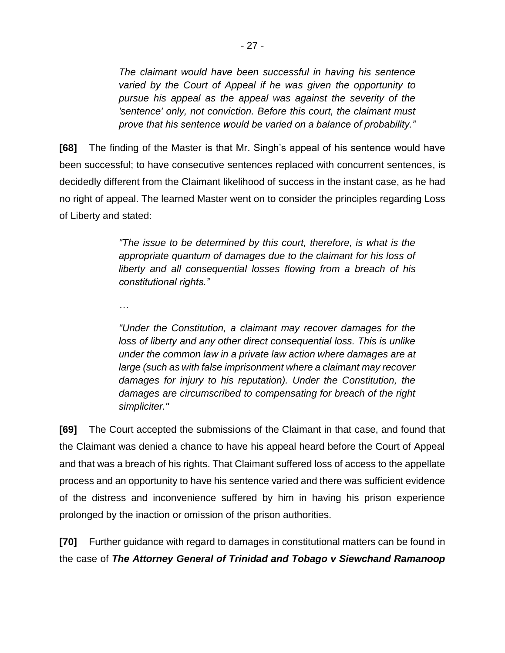*The claimant would have been successful in having his sentence varied by the Court of Appeal if he was given the opportunity to pursue his appeal as the appeal was against the severity of the 'sentence' only, not conviction. Before this court, the claimant must prove that his sentence would be varied on a balance of probability."*

**[68]** The finding of the Master is that Mr. Singh's appeal of his sentence would have been successful; to have consecutive sentences replaced with concurrent sentences, is decidedly different from the Claimant likelihood of success in the instant case, as he had no right of appeal. The learned Master went on to consider the principles regarding Loss of Liberty and stated:

> *"The issue to be determined by this court, therefore, is what is the appropriate quantum of damages due to the claimant for his loss of liberty and all consequential losses flowing from a breach of his constitutional rights."*

*…*

*"Under the Constitution, a claimant may recover damages for the loss of liberty and any other direct consequential loss. This is unlike under the common law in a private law action where damages are at large (such as with false imprisonment where a claimant may recover damages for injury to his reputation). Under the Constitution, the damages are circumscribed to compensating for breach of the right simpliciter."*

**[69]** The Court accepted the submissions of the Claimant in that case, and found that the Claimant was denied a chance to have his appeal heard before the Court of Appeal and that was a breach of his rights. That Claimant suffered loss of access to the appellate process and an opportunity to have his sentence varied and there was sufficient evidence of the distress and inconvenience suffered by him in having his prison experience prolonged by the inaction or omission of the prison authorities.

**[70]** Further guidance with regard to damages in constitutional matters can be found in the case of *The Attorney General of Trinidad and Tobago v Siewchand Ramanoop*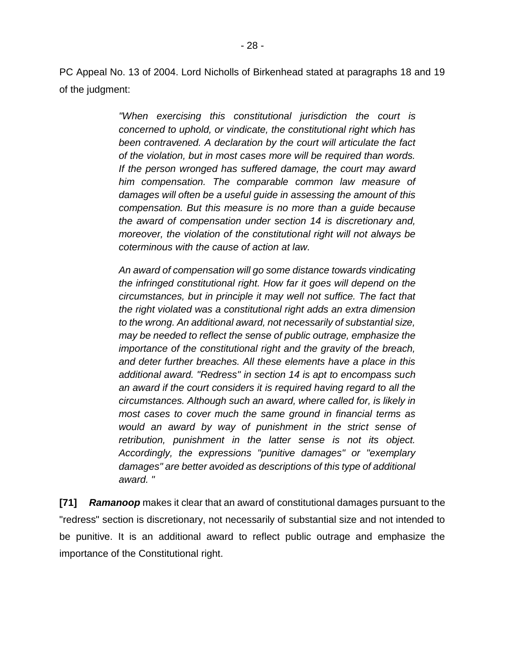PC Appeal No. 13 of 2004. Lord Nicholls of Birkenhead stated at paragraphs 18 and 19 of the judgment:

> *"When exercising this constitutional jurisdiction the court is concerned to uphold, or vindicate, the constitutional right which has been contravened. A declaration by the court will articulate the fact of the violation, but in most cases more will be required than words. If the person wronged has suffered damage, the court may award him compensation. The comparable common law measure of damages will often be a useful guide in assessing the amount of this compensation. But this measure is no more than a guide because the award of compensation under section 14 is discretionary and, moreover, the violation of the constitutional right will not always be coterminous with the cause of action at law.*

> *An award of compensation will go some distance towards vindicating the infringed constitutional right. How far it goes will depend on the circumstances, but in principle it may well not suffice. The fact that the right violated was a constitutional right adds an extra dimension to the wrong. An additional award, not necessarily of substantial size, may be needed to reflect the sense of public outrage, emphasize the importance of the constitutional right and the gravity of the breach, and deter further breaches. All these elements have a place in this additional award. "Redress" in section 14 is apt to encompass such an award if the court considers it is required having regard to all the circumstances. Although such an award, where called for, is likely in most cases to cover much the same ground in financial terms as would an award by way of punishment in the strict sense of retribution, punishment in the latter sense is not its object. Accordingly, the expressions "punitive damages" or "exemplary damages" are better avoided as descriptions of this type of additional award. "*

**[71]** *Ramanoop* makes it clear that an award of constitutional damages pursuant to the "redress" section is discretionary, not necessarily of substantial size and not intended to be punitive. It is an additional award to reflect public outrage and emphasize the importance of the Constitutional right.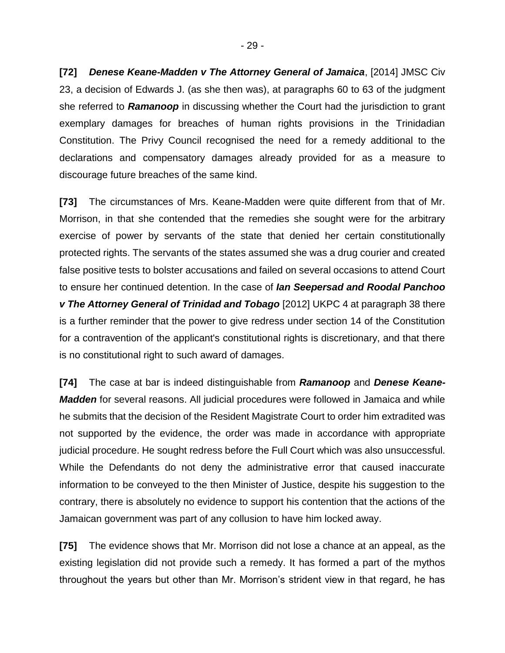**[72]** *Denese Keane-Madden v The Attorney General of Jamaica*, [2014] JMSC Civ 23, a decision of Edwards J. (as she then was), at paragraphs 60 to 63 of the judgment she referred to *Ramanoop* in discussing whether the Court had the jurisdiction to grant exemplary damages for breaches of human rights provisions in the Trinidadian Constitution. The Privy Council recognised the need for a remedy additional to the declarations and compensatory damages already provided for as a measure to discourage future breaches of the same kind.

**[73]** The circumstances of Mrs. Keane-Madden were quite different from that of Mr. Morrison, in that she contended that the remedies she sought were for the arbitrary exercise of power by servants of the state that denied her certain constitutionally protected rights. The servants of the states assumed she was a drug courier and created false positive tests to bolster accusations and failed on several occasions to attend Court to ensure her continued detention. In the case of *Ian Seepersad and Roodal Panchoo v The Attorney General of Trinidad and Tobago* [2012] UKPC 4 at paragraph 38 there is a further reminder that the power to give redress under section 14 of the Constitution for a contravention of the applicant's constitutional rights is discretionary, and that there is no constitutional right to such award of damages.

**[74]** The case at bar is indeed distinguishable from *Ramanoop* and *Denese Keane-***Madden** for several reasons. All judicial procedures were followed in Jamaica and while he submits that the decision of the Resident Magistrate Court to order him extradited was not supported by the evidence, the order was made in accordance with appropriate judicial procedure. He sought redress before the Full Court which was also unsuccessful. While the Defendants do not deny the administrative error that caused inaccurate information to be conveyed to the then Minister of Justice, despite his suggestion to the contrary, there is absolutely no evidence to support his contention that the actions of the Jamaican government was part of any collusion to have him locked away.

**[75]** The evidence shows that Mr. Morrison did not lose a chance at an appeal, as the existing legislation did not provide such a remedy. It has formed a part of the mythos throughout the years but other than Mr. Morrison's strident view in that regard, he has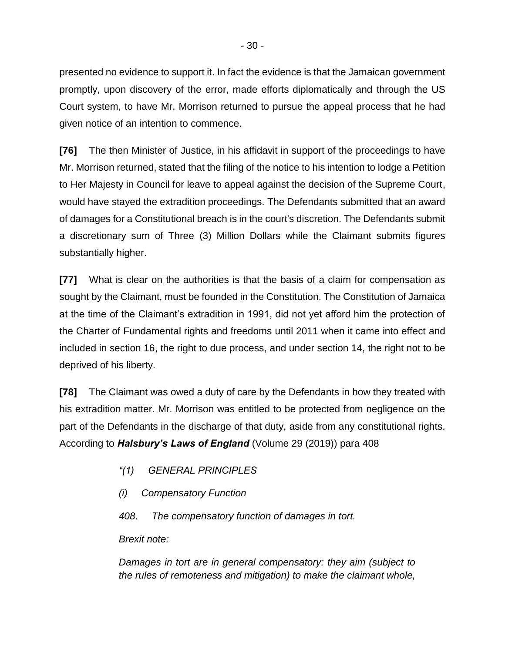presented no evidence to support it. In fact the evidence is that the Jamaican government promptly, upon discovery of the error, made efforts diplomatically and through the US Court system, to have Mr. Morrison returned to pursue the appeal process that he had given notice of an intention to commence.

**[76]** The then Minister of Justice, in his affidavit in support of the proceedings to have Mr. Morrison returned, stated that the filing of the notice to his intention to lodge a Petition to Her Majesty in Council for leave to appeal against the decision of the Supreme Court, would have stayed the extradition proceedings. The Defendants submitted that an award of damages for a Constitutional breach is in the court's discretion. The Defendants submit a discretionary sum of Three (3) Million Dollars while the Claimant submits figures substantially higher.

**[77]** What is clear on the authorities is that the basis of a claim for compensation as sought by the Claimant, must be founded in the Constitution. The Constitution of Jamaica at the time of the Claimant's extradition in 1991, did not yet afford him the protection of the Charter of Fundamental rights and freedoms until 2011 when it came into effect and included in section 16, the right to due process, and under section 14, the right not to be deprived of his liberty.

**[78]** The Claimant was owed a duty of care by the Defendants in how they treated with his extradition matter. Mr. Morrison was entitled to be protected from negligence on the part of the Defendants in the discharge of that duty, aside from any constitutional rights. According to *Halsbury's Laws of England* (Volume 29 (2019)) para 408

- *"(1) GENERAL PRINCIPLES*
- *(i) Compensatory Function*

*408. The compensatory function of damages in tort.*

*Brexit note:*

*Damages in tort are in general compensatory: they aim (subject to the rules of remoteness and mitigation) to make the claimant whole,*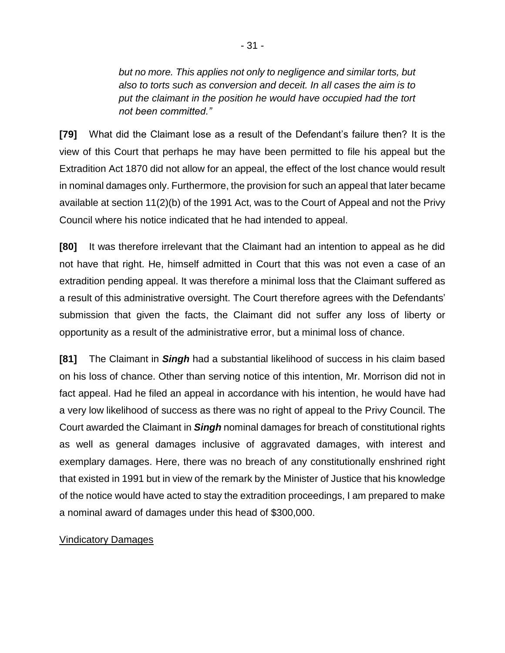*but no more. This applies not only to negligence and similar torts, but also to torts such as conversion and deceit. In all cases the aim is to put the claimant in the position he would have occupied had the tort not been committed."*

**[79]** What did the Claimant lose as a result of the Defendant's failure then? It is the view of this Court that perhaps he may have been permitted to file his appeal but the Extradition Act 1870 did not allow for an appeal, the effect of the lost chance would result in nominal damages only. Furthermore, the provision for such an appeal that later became available at section 11(2)(b) of the 1991 Act, was to the Court of Appeal and not the Privy Council where his notice indicated that he had intended to appeal.

**[80]** It was therefore irrelevant that the Claimant had an intention to appeal as he did not have that right. He, himself admitted in Court that this was not even a case of an extradition pending appeal. It was therefore a minimal loss that the Claimant suffered as a result of this administrative oversight. The Court therefore agrees with the Defendants' submission that given the facts, the Claimant did not suffer any loss of liberty or opportunity as a result of the administrative error, but a minimal loss of chance.

**[81]** The Claimant in *Singh* had a substantial likelihood of success in his claim based on his loss of chance. Other than serving notice of this intention, Mr. Morrison did not in fact appeal. Had he filed an appeal in accordance with his intention, he would have had a very low likelihood of success as there was no right of appeal to the Privy Council. The Court awarded the Claimant in *Singh* nominal damages for breach of constitutional rights as well as general damages inclusive of aggravated damages, with interest and exemplary damages. Here, there was no breach of any constitutionally enshrined right that existed in 1991 but in view of the remark by the Minister of Justice that his knowledge of the notice would have acted to stay the extradition proceedings, I am prepared to make a nominal award of damages under this head of \$300,000.

#### Vindicatory Damages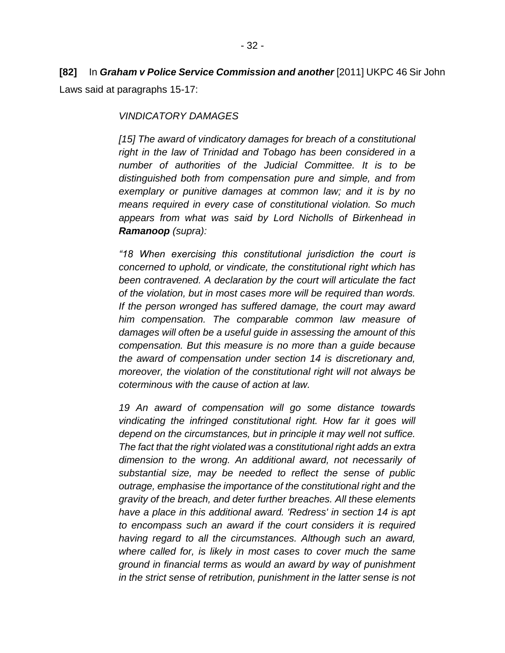# **[82]** In *Graham v Police Service Commission and another* [2011] UKPC 46 Sir John Laws said at paragraphs 15-17:

#### *VINDICATORY DAMAGES*

*[15] The award of vindicatory damages for breach of a constitutional right in the law of Trinidad and Tobago has been considered in a number of authorities of the Judicial Committee. It is to be distinguished both from compensation pure and simple, and from exemplary or punitive damages at common law; and it is by no means required in every case of constitutional violation. So much appears from what was said by Lord Nicholls of Birkenhead in Ramanoop (supra):*

*"18 When exercising this constitutional jurisdiction the court is concerned to uphold, or vindicate, the constitutional right which has been contravened. A declaration by the court will articulate the fact of the violation, but in most cases more will be required than words. If the person wronged has suffered damage, the court may award him compensation. The comparable common law measure of damages will often be a useful guide in assessing the amount of this compensation. But this measure is no more than a guide because the award of compensation under section 14 is discretionary and, moreover, the violation of the constitutional right will not always be coterminous with the cause of action at law.*

*19 An award of compensation will go some distance towards vindicating the infringed constitutional right. How far it goes will depend on the circumstances, but in principle it may well not suffice. The fact that the right violated was a constitutional right adds an extra dimension to the wrong. An additional award, not necessarily of substantial size, may be needed to reflect the sense of public outrage, emphasise the importance of the constitutional right and the gravity of the breach, and deter further breaches. All these elements have a place in this additional award. 'Redress' in section 14 is apt to encompass such an award if the court considers it is required having regard to all the circumstances. Although such an award, where called for, is likely in most cases to cover much the same ground in financial terms as would an award by way of punishment in the strict sense of retribution, punishment in the latter sense is not*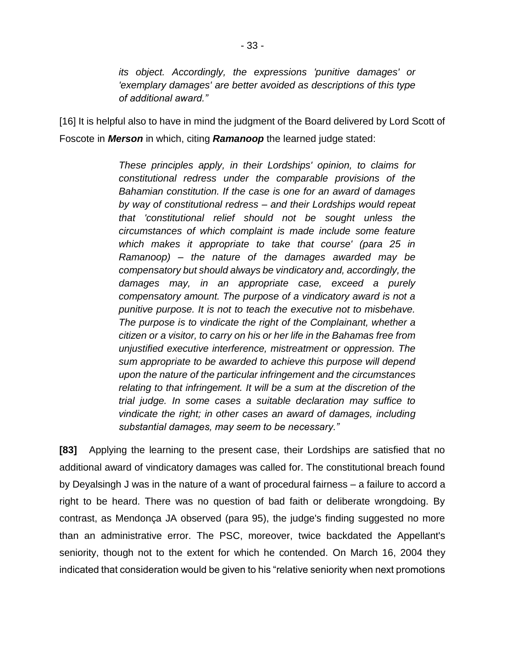*its object. Accordingly, the expressions 'punitive damages' or 'exemplary damages' are better avoided as descriptions of this type of additional award."*

[16] It is helpful also to have in mind the judgment of the Board delivered by Lord Scott of Foscote in *Merson* in which, citing *Ramanoop* the learned judge stated:

> *These principles apply, in their Lordships' opinion, to claims for constitutional redress under the comparable provisions of the Bahamian constitution. If the case is one for an award of damages by way of constitutional redress – and their Lordships would repeat that 'constitutional relief should not be sought unless the circumstances of which complaint is made include some feature which makes it appropriate to take that course' (para 25 in Ramanoop) – the nature of the damages awarded may be compensatory but should always be vindicatory and, accordingly, the damages may, in an appropriate case, exceed a purely compensatory amount. The purpose of a vindicatory award is not a punitive purpose. It is not to teach the executive not to misbehave. The purpose is to vindicate the right of the Complainant, whether a citizen or a visitor, to carry on his or her life in the Bahamas free from unjustified executive interference, mistreatment or oppression. The sum appropriate to be awarded to achieve this purpose will depend upon the nature of the particular infringement and the circumstances relating to that infringement. It will be a sum at the discretion of the trial judge. In some cases a suitable declaration may suffice to vindicate the right; in other cases an award of damages, including substantial damages, may seem to be necessary."*

**[83]** Applying the learning to the present case, their Lordships are satisfied that no additional award of vindicatory damages was called for. The constitutional breach found by Deyalsingh J was in the nature of a want of procedural fairness – a failure to accord a right to be heard. There was no question of bad faith or deliberate wrongdoing. By contrast, as Mendonça JA observed (para 95), the judge's finding suggested no more than an administrative error. The PSC, moreover, twice backdated the Appellant's seniority, though not to the extent for which he contended. On March 16, 2004 they indicated that consideration would be given to his "relative seniority when next promotions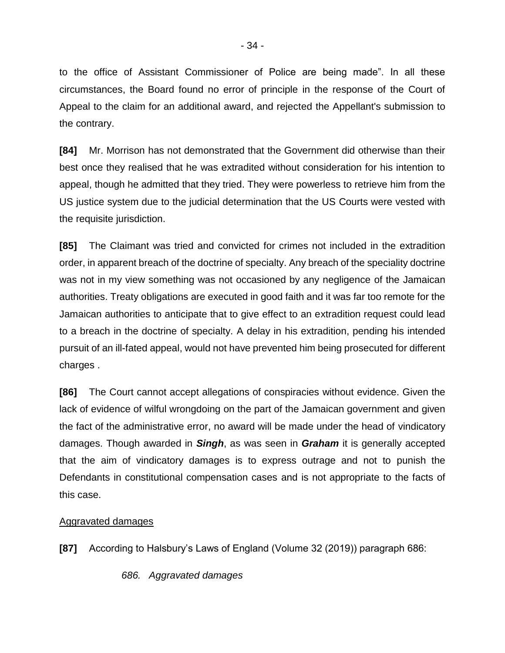to the office of Assistant Commissioner of Police are being made". In all these circumstances, the Board found no error of principle in the response of the Court of Appeal to the claim for an additional award, and rejected the Appellant's submission to the contrary.

**[84]** Mr. Morrison has not demonstrated that the Government did otherwise than their best once they realised that he was extradited without consideration for his intention to appeal, though he admitted that they tried. They were powerless to retrieve him from the US justice system due to the judicial determination that the US Courts were vested with the requisite jurisdiction.

**[85]** The Claimant was tried and convicted for crimes not included in the extradition order, in apparent breach of the doctrine of specialty. Any breach of the speciality doctrine was not in my view something was not occasioned by any negligence of the Jamaican authorities. Treaty obligations are executed in good faith and it was far too remote for the Jamaican authorities to anticipate that to give effect to an extradition request could lead to a breach in the doctrine of specialty. A delay in his extradition, pending his intended pursuit of an ill-fated appeal, would not have prevented him being prosecuted for different charges .

**[86]** The Court cannot accept allegations of conspiracies without evidence. Given the lack of evidence of wilful wrongdoing on the part of the Jamaican government and given the fact of the administrative error, no award will be made under the head of vindicatory damages. Though awarded in *Singh*, as was seen in *Graham* it is generally accepted that the aim of vindicatory damages is to express outrage and not to punish the Defendants in constitutional compensation cases and is not appropriate to the facts of this case.

#### Aggravated damages

**[87]** According to Halsbury's Laws of England (Volume 32 (2019)) paragraph 686:

*686. Aggravated damages*